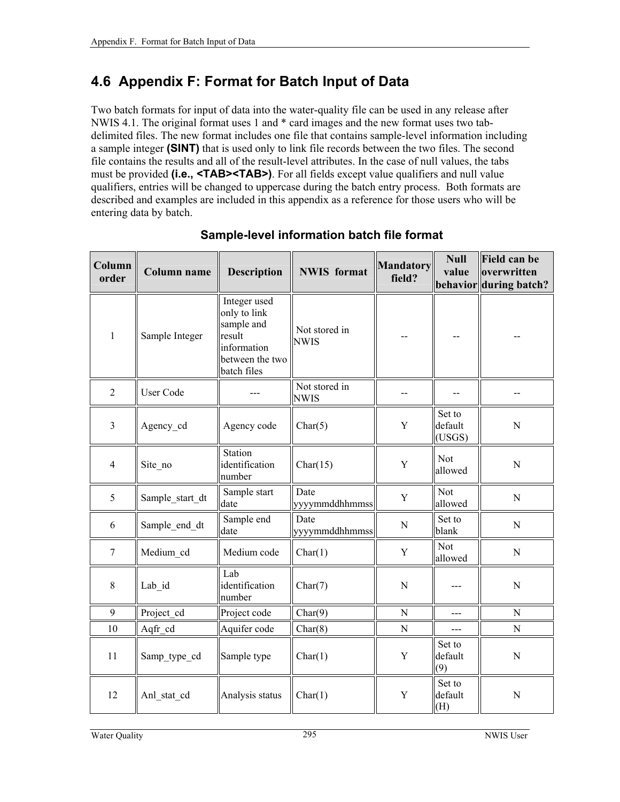## <span id="page-0-0"></span>**4.6 Appendix F: Format for Batch Input of Data**

Two batch formats for input of data into the water-quality file can be used in any release after NWIS 4.1. The original format uses 1 and \* card images and the new format uses two tabdelimited files. The new format includes one file that contains sample-level information including a sample integer **(SINT)** that is used only to link file records between the two files. The second file contains the results and all of the result-level attributes. In the case of null values, the tabs must be provided **(i.e., <TAB><TAB>)**. For all fields except value qualifiers and null value qualifiers, entries will be changed to uppercase during the batch entry process. Both formats are described and examples are included in this appendix as a reference for those users who will be entering data by batch.

| Column<br>order | Column name     | <b>Description</b>                                                                                    | <b>NWIS</b> format           | <b>Mandatory</b><br>field? | <b>Null</b><br>value        | <b>Field can be</b><br>overwritten<br>behavior during batch? |
|-----------------|-----------------|-------------------------------------------------------------------------------------------------------|------------------------------|----------------------------|-----------------------------|--------------------------------------------------------------|
| $\mathbf{1}$    | Sample Integer  | Integer used<br>only to link<br>sample and<br>result<br>information<br>between the two<br>batch files | Not stored in<br><b>NWIS</b> |                            |                             |                                                              |
| $\overline{2}$  | User Code       |                                                                                                       | Not stored in<br><b>NWIS</b> | --                         | --                          | $-$                                                          |
| 3               | Agency_cd       | Agency code                                                                                           | Char(5)                      | Y                          | Set to<br>default<br>(USGS) | ${\bf N}$                                                    |
| $\overline{4}$  | Site_no         | Station<br>identification<br>number                                                                   | Char(15)                     | Y                          | Not<br>allowed              | $\mathbf N$                                                  |
| 5               | Sample_start_dt | Sample start<br>date                                                                                  | Date<br>yyyymmddhhmmss       | Y                          | <b>Not</b><br>allowed       | $\mathbf N$                                                  |
| 6               | Sample end dt   | Sample end<br>date                                                                                    | Date<br>yyyymmddhhmmss       | ${\bf N}$                  | Set to<br>blank             | $\mathbf N$                                                  |
| $\overline{7}$  | Medium cd       | Medium code                                                                                           | Char(1)                      | Y                          | Not<br>allowed              | $\mathbf N$                                                  |
| 8               | Lab_id          | Lab<br>identification<br>number                                                                       | Char(7)                      | $\mathbf N$                |                             | N                                                            |
| 9               | Project cd      | Project code                                                                                          | Char(9)                      | N                          | ---                         | $\mathbf N$                                                  |
| 10              | Aqfr_cd         | Aquifer code                                                                                          | Char(8)                      | ${\bf N}$                  | $---$                       | ${\bf N}$                                                    |
| 11              | Samp_type_cd    | Sample type                                                                                           | Char(1)                      | Y                          | Set to<br>default<br>(9)    | $\mathbf N$                                                  |
| 12              | Anl stat cd     | Analysis status                                                                                       | Char(1)                      | Y                          | Set to<br>default<br>(H)    | $\overline{N}$                                               |

## **Sample-level information batch file format**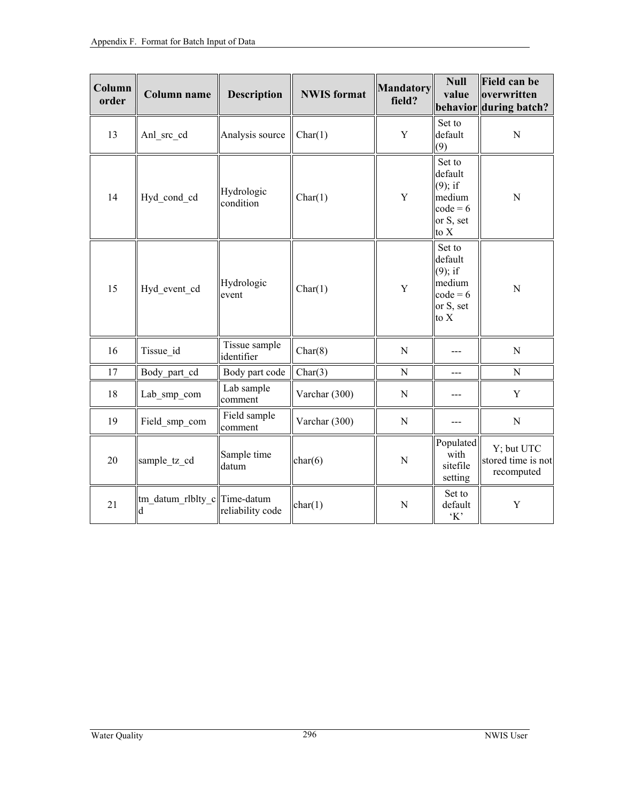| Column<br>order | <b>Column name</b>                | <b>Description</b>          | <b>NWIS</b> format | <b>Mandatory</b><br>field? | <b>Null</b><br>value                                                         | <b>Field can be</b><br>overwritten<br>behavior during batch? |
|-----------------|-----------------------------------|-----------------------------|--------------------|----------------------------|------------------------------------------------------------------------------|--------------------------------------------------------------|
| 13              | Anl_src_cd                        | Analysis source             | Char(1)            | Y                          | Set to<br>default<br>(9)                                                     | $\overline{N}$                                               |
| 14              | Hyd_cond_cd                       | Hydrologic<br>condition     | Char(1)            | Y                          | Set to<br>default<br>$(9)$ ; if<br>medium<br>$code = 6$<br>or S, set<br>to X | $\overline{N}$                                               |
| 15              | Hyd event cd                      | Hydrologic<br>event         | Char(1)            | Y                          | Set to<br>default<br>$(9)$ ; if<br>medium<br>$code = 6$<br>or S, set<br>to X | ${\bf N}$                                                    |
| 16              | Tissue id                         | Tissue sample<br>identifier | Char(8)            | $\mathbf N$                | ---                                                                          | $\mathbf N$                                                  |
| 17              | Body_part_cd                      | Body part code              | Char(3)            | N                          | ---                                                                          | ${\bf N}$                                                    |
| 18              | Lab smp com                       | Lab sample<br>comment       | Varchar (300)      | $\mathbf N$                |                                                                              | $\mathbf Y$                                                  |
| 19              | Field smp com                     | Field sample<br>comment     | Varchar (300)      | ${\bf N}$                  | $---$                                                                        | ${\bf N}$                                                    |
| 20              | sample_tz_cd                      | Sample time<br>datum        | char(6)            | ${\bf N}$                  | Populated<br>with<br>sitefile<br>setting                                     | Y; but UTC<br>stored time is not<br>recomputed               |
| 21              | tm datum rlblty c Time-datum<br>d | reliability code            | char(1)            | N                          | Set to<br>default<br>K                                                       | Y                                                            |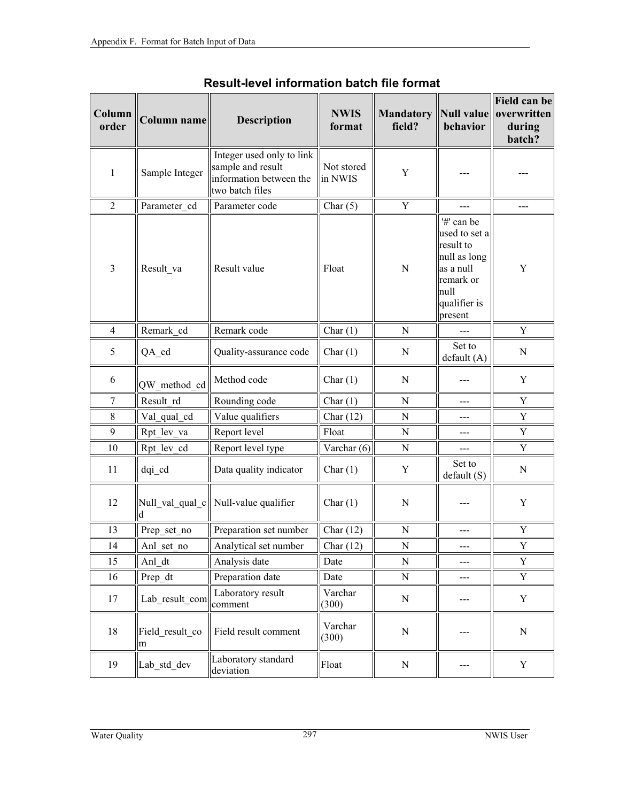| Column<br>order | Column name          | <b>Description</b>                                                                           | <b>NWIS</b><br>format        | <b>Mandatory</b><br>field? | behavior                                                                                                              | Field can be<br>Null value overwritten<br>during<br>batch? |
|-----------------|----------------------|----------------------------------------------------------------------------------------------|------------------------------|----------------------------|-----------------------------------------------------------------------------------------------------------------------|------------------------------------------------------------|
| $\mathbf{1}$    | Sample Integer       | Integer used only to link<br>sample and result<br>information between the<br>two batch files | Not stored<br>in NWIS        | $\mathbf Y$                |                                                                                                                       |                                                            |
| $\mathbf{2}$    | Parameter cd         | Parameter code                                                                               | Char $(5)$                   | Y                          |                                                                                                                       |                                                            |
| $\overline{3}$  | Result_va            | Result value                                                                                 | Float                        | $\mathbf N$                | '#' can be<br>used to set a<br>result to<br>null as long<br>as a null<br>remark or<br>null<br>qualifier is<br>present | Y                                                          |
| $\overline{4}$  | Remark cd            | Remark code                                                                                  | Char $(1)$                   | $\mathbf N$                | ---                                                                                                                   | Y                                                          |
| 5               | QA_cd                | Quality-assurance code                                                                       | Char $(1)$                   | N                          | Set to<br>default(A)                                                                                                  | ${\bf N}$                                                  |
| 6               | QW method cd         | Method code                                                                                  | Char $(1)$                   | N                          |                                                                                                                       | $\mathbf Y$                                                |
| 7               | Result rd            | Rounding code                                                                                | Char $(1)$                   | N                          | ---                                                                                                                   | Y                                                          |
| 8               | Val_qual_cd          | Value qualifiers                                                                             | Char $(12)$                  | ${\bf N}$                  | ---                                                                                                                   | $\mathbf Y$                                                |
| 9               | Rpt lev va           | Report level                                                                                 | Float                        | N                          | ---                                                                                                                   | $\mathbf Y$                                                |
| 10              | Rpt_lev_cd           | Report level type                                                                            | Varchar (6)                  | ${\bf N}$                  | ---                                                                                                                   | $\mathbf Y$                                                |
| 11              | dqi_cd               | Data quality indicator                                                                       | Char $(1)$                   | Y                          | Set to<br>default(S)                                                                                                  | ${\bf N}$                                                  |
| 12              |                      | Null_val_qual_c  Null-value qualifier                                                        | Char $(1)$                   | $\mathbf N$                |                                                                                                                       | $\mathbf Y$                                                |
| 13              | Prep_set_no          | Preparation set number                                                                       | Char $(12)$                  | ${\bf N}$                  | ---                                                                                                                   | $\mathbf Y$                                                |
| 14              | Anl_set_no           | Analytical set number                                                                        | $\overline{\text{Char}}(12)$ | ${\bf N}$                  | ---                                                                                                                   | $\mathbf Y$                                                |
| 15              | Anl dt               | Analysis date                                                                                | Date                         | N                          | ---                                                                                                                   | Y                                                          |
| 16              | Prep dt              | Preparation date                                                                             | Date                         | ${\bf N}$                  | ---                                                                                                                   | Y                                                          |
| 17              | Lab result com       | Laboratory result<br>comment                                                                 | Varchar<br>(300)             | ${\bf N}$                  | ---                                                                                                                   | Y                                                          |
| 18              | Field result co<br>m | Field result comment                                                                         | Varchar<br>(300)             | $\mathbf N$                | ---                                                                                                                   | ${\bf N}$                                                  |
| 19              | Lab std dev          | Laboratory standard<br>deviation                                                             | Float                        | ${\bf N}$                  | ---                                                                                                                   | Y                                                          |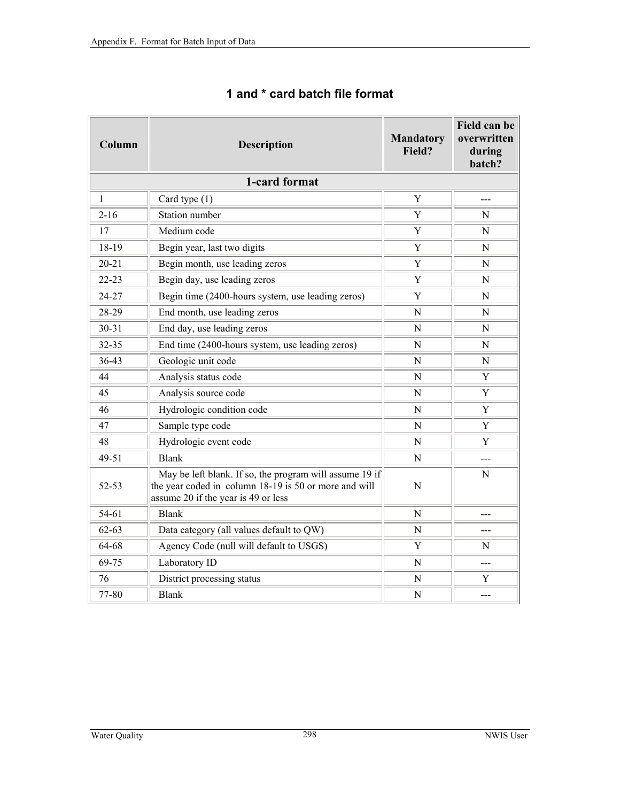| Column       | <b>Description</b>                                                                                                                                      | <b>Mandatory</b><br>Field? | Field can be<br>overwritten<br>during<br>batch? |  |  |  |  |
|--------------|---------------------------------------------------------------------------------------------------------------------------------------------------------|----------------------------|-------------------------------------------------|--|--|--|--|
|              | 1-card format                                                                                                                                           |                            |                                                 |  |  |  |  |
| $\mathbf{1}$ | Card type (1)                                                                                                                                           | Y                          | ---                                             |  |  |  |  |
| $2 - 16$     | Station number                                                                                                                                          | Y                          | N                                               |  |  |  |  |
| 17           | Medium code                                                                                                                                             | Y                          | N                                               |  |  |  |  |
| 18-19        | Begin year, last two digits                                                                                                                             | Y                          | N                                               |  |  |  |  |
| $20 - 21$    | Begin month, use leading zeros                                                                                                                          | Y                          | N                                               |  |  |  |  |
| $22 - 23$    | Begin day, use leading zeros                                                                                                                            | Y                          | N                                               |  |  |  |  |
| 24-27        | Begin time (2400-hours system, use leading zeros)                                                                                                       | Y                          | N                                               |  |  |  |  |
| 28-29        | End month, use leading zeros                                                                                                                            | N                          | N                                               |  |  |  |  |
| $30 - 31$    | End day, use leading zeros                                                                                                                              | N                          | N                                               |  |  |  |  |
| 32-35        | End time (2400-hours system, use leading zeros)                                                                                                         | N                          | N                                               |  |  |  |  |
| $36-43$      | Geologic unit code                                                                                                                                      | N                          | N                                               |  |  |  |  |
| 44           | Analysis status code                                                                                                                                    | $\mathbf N$                | Y                                               |  |  |  |  |
| 45           | Analysis source code                                                                                                                                    | N                          | Y                                               |  |  |  |  |
| 46           | Hydrologic condition code                                                                                                                               | $\mathbf N$                | Y                                               |  |  |  |  |
| 47           | Sample type code                                                                                                                                        | N                          | Y                                               |  |  |  |  |
| 48           | Hydrologic event code                                                                                                                                   | N                          | Y                                               |  |  |  |  |
| 49-51        | <b>Blank</b>                                                                                                                                            | N                          | ---                                             |  |  |  |  |
| 52-53        | May be left blank. If so, the program will assume 19 if<br>the year coded in column 18-19 is 50 or more and will<br>assume 20 if the year is 49 or less | ${\bf N}$                  | N                                               |  |  |  |  |
| 54-61        | <b>Blank</b>                                                                                                                                            | N                          |                                                 |  |  |  |  |
| $62 - 63$    | Data category (all values default to QW)                                                                                                                | N                          |                                                 |  |  |  |  |
| 64-68        | Agency Code (null will default to USGS)                                                                                                                 | Y                          | N                                               |  |  |  |  |
| 69-75        | Laboratory ID                                                                                                                                           | N                          | ---                                             |  |  |  |  |
| 76           | District processing status                                                                                                                              | N                          | Y                                               |  |  |  |  |
| 77-80        | <b>Blank</b>                                                                                                                                            | N                          | ---                                             |  |  |  |  |

## **1 and \* card batch file format**